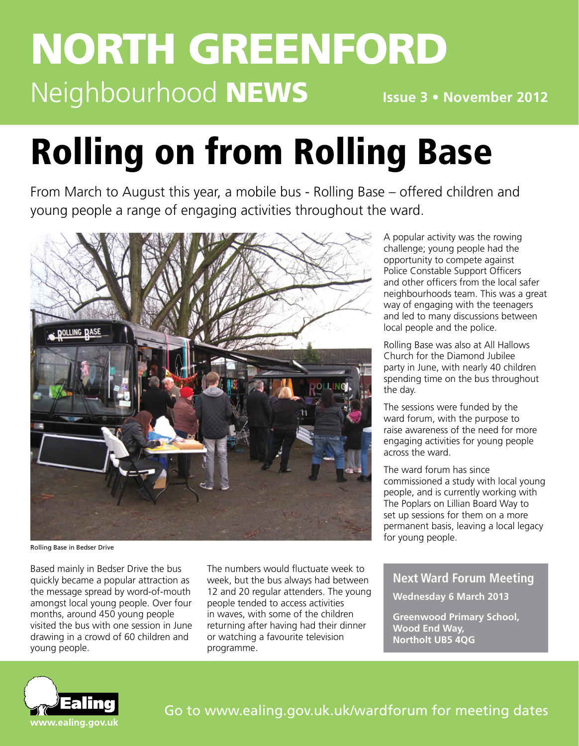# north greenford Neighbourhood **NEWS**

**Issue 3 • November 2012**

# Rolling on from Rolling Base

From March to August this year, a mobile bus - Rolling Base – offered children and young people a range of engaging activities throughout the ward.



Rolling Base in Bedser Drive

Based mainly in Bedser Drive the bus quickly became a popular attraction as the message spread by word-of-mouth amongst local young people. Over four months, around 450 young people visited the bus with one session in June drawing in a crowd of 60 children and young people.

The numbers would fluctuate week to week, but the bus always had between 12 and 20 regular attenders. The young people tended to access activities in waves, with some of the children returning after having had their dinner or watching a favourite television programme.

A popular activity was the rowing challenge; young people had the opportunity to compete against Police Constable Support Officers and other officers from the local safer neighbourhoods team. This was a great way of engaging with the teenagers and led to many discussions between local people and the police.

Rolling Base was also at All Hallows Church for the Diamond Jubilee party in June, with nearly 40 children spending time on the bus throughout the day.

The sessions were funded by the ward forum, with the purpose to raise awareness of the need for more engaging activities for young people across the ward.

The ward forum has since commissioned a study with local young people, and is currently working with The Poplars on Lillian Board Way to set up sessions for them on a more permanent basis, leaving a local legacy for young people.

#### **Next Ward Forum Meeting**

**Wednesday 6 March 2013**

**Greenwood Primary School, Wood End Way, Northolt UB5 4QG**

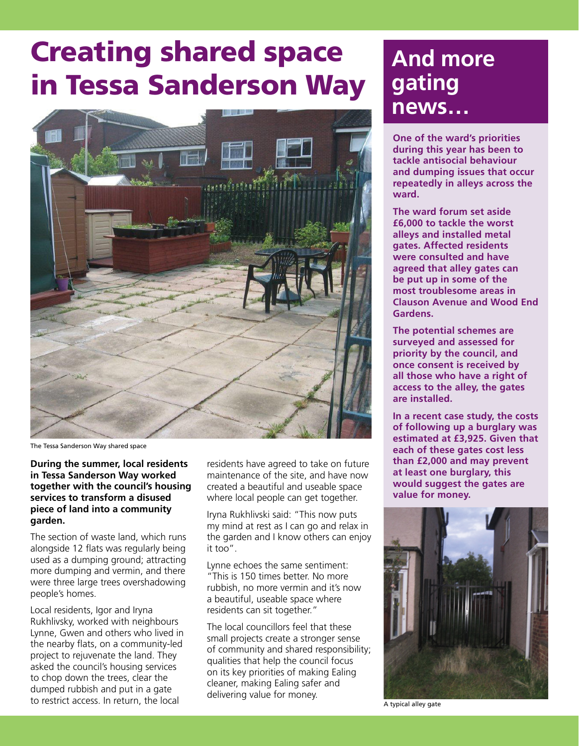## Creating shared space in Tessa Sanderson Way



The Tessa Sanderson Way shared space

**During the summer, local residents in Tessa Sanderson Way worked together with the council's housing services to transform a disused piece of land into a community garden.**

The section of waste land, which runs alongside 12 flats was regularly being used as a dumping ground; attracting more dumping and vermin, and there were three large trees overshadowing people's homes.

Local residents, Igor and Iryna Rukhlivsky, worked with neighbours Lynne, Gwen and others who lived in the nearby flats, on a community-led project to rejuvenate the land. They asked the council's housing services to chop down the trees, clear the dumped rubbish and put in a gate to restrict access. In return, the local

residents have agreed to take on future maintenance of the site, and have now created a beautiful and useable space where local people can get together.

Iryna Rukhlivski said: "This now puts my mind at rest as I can go and relax in the garden and I know others can enjoy it too".

Lynne echoes the same sentiment: "This is 150 times better. No more rubbish, no more vermin and it's now a beautiful, useable space where residents can sit together."

The local councillors feel that these small projects create a stronger sense of community and shared responsibility; qualities that help the council focus on its key priorities of making Ealing cleaner, making Ealing safer and delivering value for money.

### **And more gating news…**

**One of the ward's priorities during this year has been to tackle antisocial behaviour and dumping issues that occur repeatedly in alleys across the ward.**

**The ward forum set aside £6,000 to tackle the worst alleys and installed metal gates. Affected residents were consulted and have agreed that alley gates can be put up in some of the most troublesome areas in Clauson Avenue and Wood End Gardens.** 

**The potential schemes are surveyed and assessed for priority by the council, and once consent is received by all those who have a right of access to the alley, the gates are installed.** 

**In a recent case study, the costs of following up a burglary was estimated at £3,925. Given that each of these gates cost less than £2,000 and may prevent at least one burglary, this would suggest the gates are value for money.**



A typical alley gate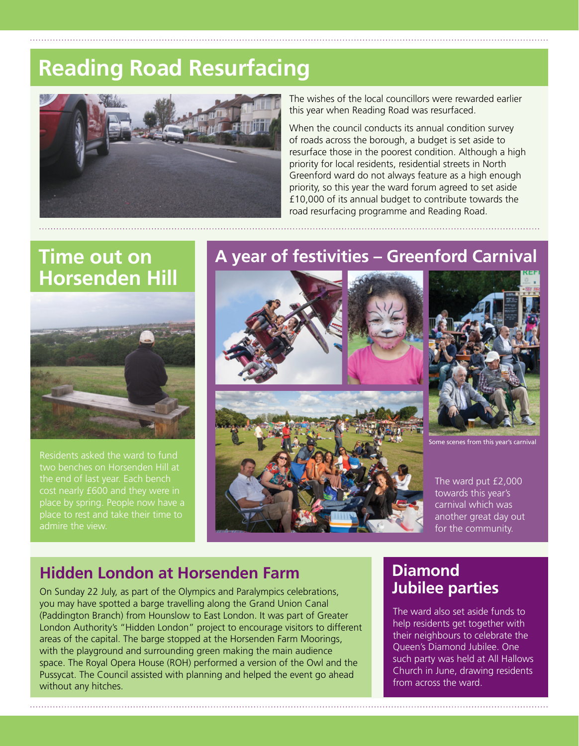## **Reading Road Resurfacing**



The wishes of the local councillors were rewarded earlier this year when Reading Road was resurfaced.

When the council conducts its annual condition survey of roads across the borough, a budget is set aside to resurface those in the poorest condition. Although a high priority for local residents, residential streets in North Greenford ward do not always feature as a high enough priority, so this year the ward forum agreed to set aside £10,000 of its annual budget to contribute towards the road resurfacing programme and Reading Road.

#### **Time out on Horsenden Hill**



Residents asked the ward to fund the end of last year. Each bench place to rest and take their time to

#### **A year of festivities – Greenford Carnival**





scenes from this year's car

The ward put £2,000 towards this year's carnival which was another great day out for the community.

#### **Hidden London at Horsenden Farm**

On Sunday 22 July, as part of the Olympics and Paralympics celebrations, you may have spotted a barge travelling along the Grand Union Canal (Paddington Branch) from Hounslow to East London. It was part of Greater London Authority's "Hidden London" project to encourage visitors to different areas of the capital. The barge stopped at the Horsenden Farm Moorings, with the playground and surrounding green making the main audience space. The Royal Opera House (ROH) performed a version of the Owl and the Pussycat. The Council assisted with planning and helped the event go ahead without any hitches.

#### **Diamond Jubilee parties**

The ward also set aside funds to help residents get together with their neighbours to celebrate the Queen's Diamond Jubilee. One such party was held at All Hallows Church in June, drawing residents from across the ward.